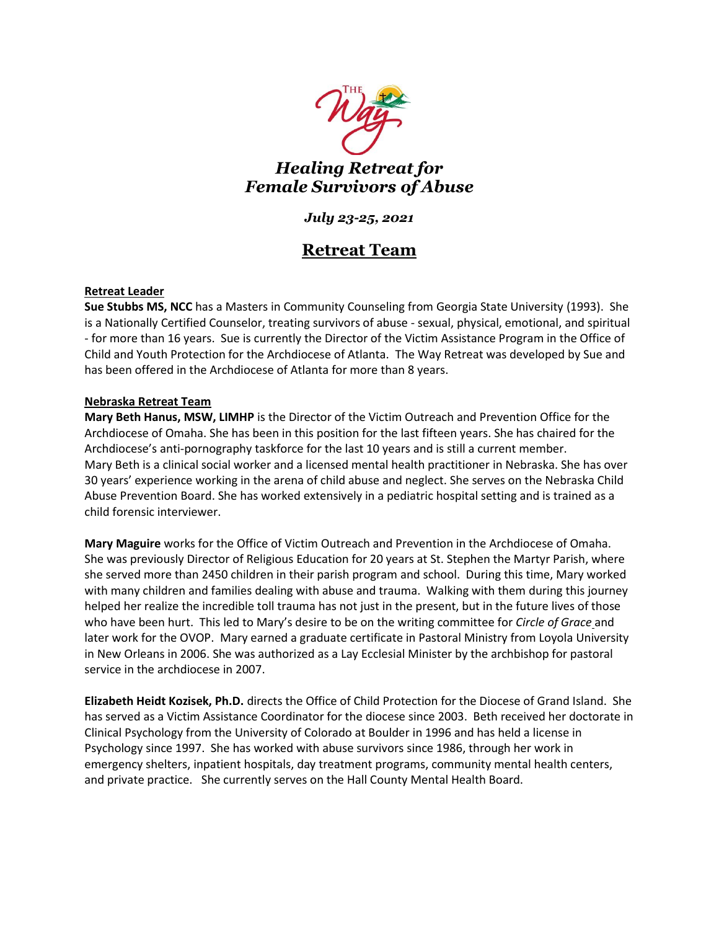

*Healing Retreat for Female Survivors of Abuse*

# *July 23-25, 2021*

# **Retreat Team**

## **Retreat Leader**

**Sue Stubbs MS, NCC** has a Masters in Community Counseling from Georgia State University (1993). She is a Nationally Certified Counselor, treating survivors of abuse - sexual, physical, emotional, and spiritual - for more than 16 years. Sue is currently the Director of the Victim Assistance Program in the Office of Child and Youth Protection for the Archdiocese of Atlanta. The Way Retreat was developed by Sue and has been offered in the Archdiocese of Atlanta for more than 8 years.

### **Nebraska Retreat Team**

**Mary Beth Hanus, MSW, LIMHP** is the Director of the Victim Outreach and Prevention Office for the Archdiocese of Omaha. She has been in this position for the last fifteen years. She has chaired for the Archdiocese's anti-pornography taskforce for the last 10 years and is still a current member. Mary Beth is a clinical social worker and a licensed mental health practitioner in Nebraska. She has over 30 years' experience working in the arena of child abuse and neglect. She serves on the Nebraska Child Abuse Prevention Board. She has worked extensively in a pediatric hospital setting and is trained as a child forensic interviewer.

**Mary Maguire** works for the Office of Victim Outreach and Prevention in the Archdiocese of Omaha. She was previously Director of Religious Education for 20 years at St. Stephen the Martyr Parish, where she served more than 2450 children in their parish program and school. During this time, Mary worked with many children and families dealing with abuse and trauma. Walking with them during this journey helped her realize the incredible toll trauma has not just in the present, but in the future lives of those who have been hurt. This led to Mary's desire to be on the writing committee for *Circle of Grace* and later work for the OVOP. Mary earned a graduate certificate in Pastoral Ministry from Loyola University in New Orleans in 2006. She was authorized as a Lay Ecclesial Minister by the archbishop for pastoral service in the archdiocese in 2007.

**Elizabeth Heidt Kozisek, Ph.D.** directs the Office of Child Protection for the Diocese of Grand Island. She has served as a Victim Assistance Coordinator for the diocese since 2003. Beth received her doctorate in Clinical Psychology from the University of Colorado at Boulder in 1996 and has held a license in Psychology since 1997. She has worked with abuse survivors since 1986, through her work in emergency shelters, inpatient hospitals, day treatment programs, community mental health centers, and private practice. She currently serves on the Hall County Mental Health Board.